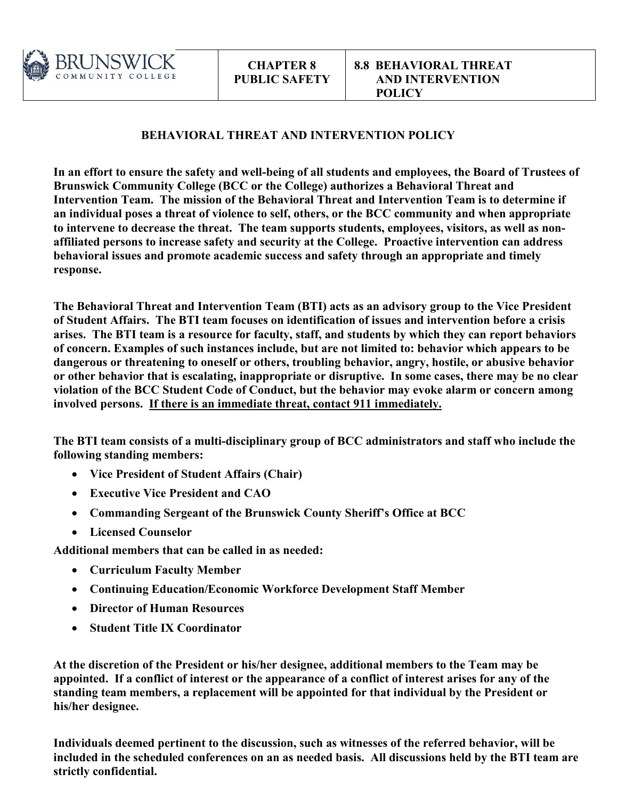

# **BEHAVIORAL THREAT AND INTERVENTION POLICY**

**In an effort to ensure the safety and well-being of all students and employees, the Board of Trustees of Brunswick Community College (BCC or the College) authorizes a Behavioral Threat and Intervention Team. The mission of the Behavioral Threat and Intervention Team is to determine if an individual poses a threat of violence to self, others, or the BCC community and when appropriate to intervene to decrease the threat. The team supports students, employees, visitors, as well as nonaffiliated persons to increase safety and security at the College. Proactive intervention can address behavioral issues and promote academic success and safety through an appropriate and timely response.** 

**The Behavioral Threat and Intervention Team (BTI) acts as an advisory group to the Vice President of Student Affairs. The BTI team focuses on identification of issues and intervention before a crisis arises. The BTI team is a resource for faculty, staff, and students by which they can report behaviors of concern. Examples of such instances include, but are not limited to: behavior which appears to be dangerous or threatening to oneself or others, troubling behavior, angry, hostile, or abusive behavior or other behavior that is escalating, inappropriate or disruptive. In some cases, there may be no clear violation of the BCC Student Code of Conduct, but the behavior may evoke alarm or concern among involved persons. If there is an immediate threat, contact 911 immediately.**

**The BTI team consists of a multi-disciplinary group of BCC administrators and staff who include the following standing members:**

- **Vice President of Student Affairs (Chair)**
- **Executive Vice President and CAO**
- **Commanding Sergeant of the Brunswick County Sheriff's Office at BCC**
- **Licensed Counselor**

**Additional members that can be called in as needed:**

- **Curriculum Faculty Member**
- **Continuing Education/Economic Workforce Development Staff Member**
- **Director of Human Resources**
- **Student Title IX Coordinator**

**At the discretion of the President or his/her designee, additional members to the Team may be appointed. If a conflict of interest or the appearance of a conflict of interest arises for any of the standing team members, a replacement will be appointed for that individual by the President or his/her designee.**

**Individuals deemed pertinent to the discussion, such as witnesses of the referred behavior, will be included in the scheduled conferences on an as needed basis. All discussions held by the BTI team are strictly confidential.**